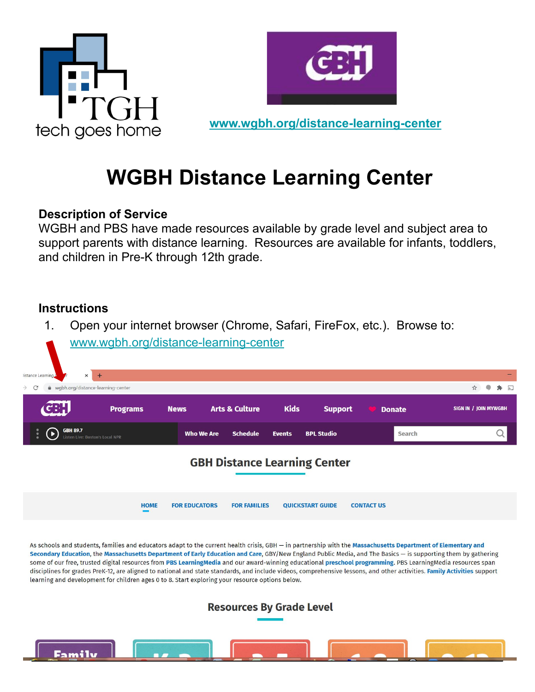



**[www.wgbh.org/distance-learning-center](http://www.wgbh.org/distance-learning-center)**

# **WGBH Distance Learning Center**

### **Description of Service**

WGBH and PBS have made resources available by grade level and subject area to support parents with distance learning. Resources are available for infants, toddlers, and children in Pre-K through 12th grade.

### **Instructions**

1. Open your internet browser (Chrome, Safari, FireFox, etc.). Browse to:



As schools and students, families and educators adapt to the current health crisis, GBH — in partnership with the Massachusetts Department of Elementary and Secondary Education, the Massachusetts Department of Early Education and Care, GBY/New England Public Media, and The Basics — is supporting them by gathering<br>some of our free, trusted digital resources from PBS LearningMed learning and development for children ages 0 to 8. Start exploring your resource options below.

**Resources By Grade Level** 

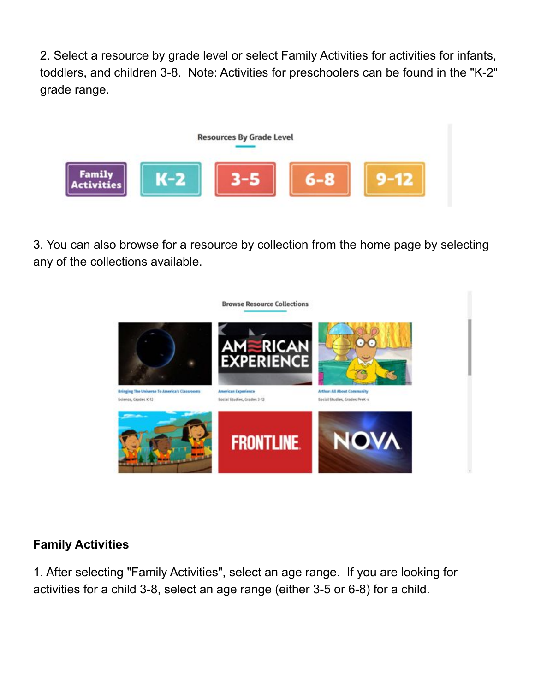2. Select a resource by grade level or select Family Activities for activities for infants, toddlers, and children 3-8. Note: Activities for preschoolers can be found in the "K-2" grade range.



3. You can also browse for a resource by collection from the home page by selecting any of the collections available.



# **Family Activities**

1. After selecting "Family Activities", select an age range. If you are looking for activities for a child 3-8, select an age range (either 3-5 or 6-8) for a child.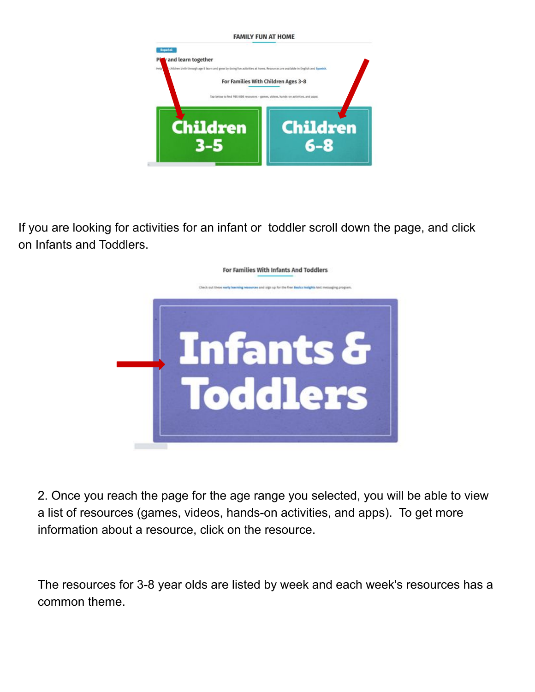

If you are looking for activities for an infant or toddler scroll down the page, and click on Infants and Toddlers.



2. Once you reach the page for the age range you selected, you will be able to view a list of resources (games, videos, hands-on activities, and apps). To get more information about a resource, click on the resource.

The resources for 3-8 year olds are listed by week and each week's resources has a common theme.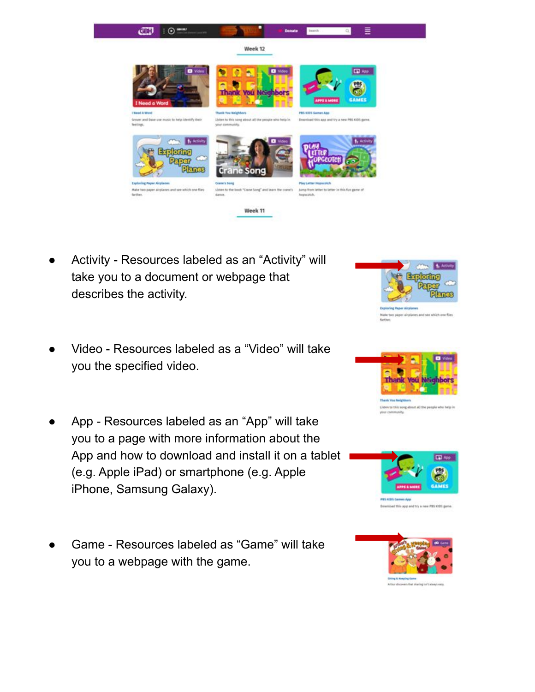

- Activity Resources labeled as an "Activity" will take you to a document or webpage that describes the activity.
- Video Resources labeled as a "Video" will take you the specified video.
- App Resources labeled as an "App" will take you to a page with more information about the App and how to download and install it on a tablet (e.g. Apple iPad) or smartphone (e.g. Apple iPhone, Samsung Galaxy).
- Game Resources labeled as "Game" will take you to a webpage with the game.







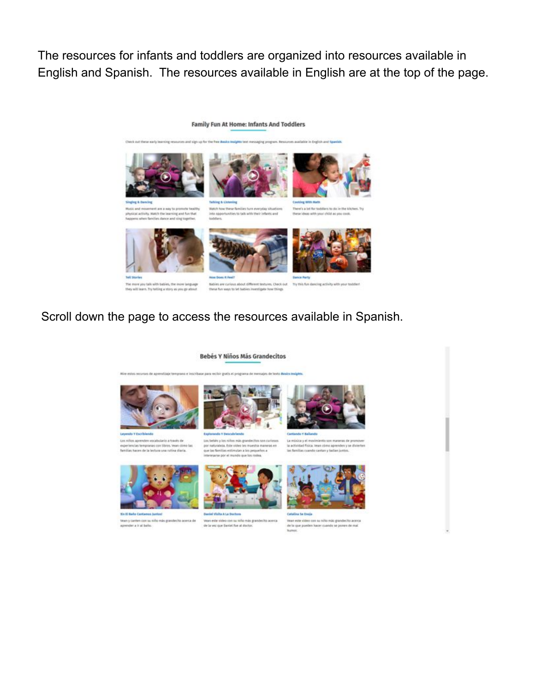The resources for infants and toddlers are organized into resources available in English and Spanish. The resources available in English are at the top of the page.

#### Family Fun At Home: Infants And Toddlers

in Explicit and Say







lusic and movement are a way to pr lists match the learn ing and fun that

Watch how these families furn everyday situations inta apports hea phobes to add didn't disc in reiting

There's a lot for toddlers to do in the kitchen. Try these ideas with your child as you cook.







ore you talk with bat The m they will learn. Try telling a story as you go about

these fun ways to let babies investigate how things.

es, Check out. Try this fun dancing activity with your toddlent

# Scroll down the page to access the resources available in Spanish.

#### **Bebés Y Niños Más Grandecitos**



Les niños aprenden vocat experiencias tempranas con libros, vean climo las<br>Samilias hacen de la lectura una rutina diaria.



usu bebis y los niños más gu por naturaleza. Este video les muestra maneras en que las familias es nutan a los pequei los a

La música y el inovimiento son maneras de promover<br>la actividad física, levan cómo aprenden y se divierten<br>las familias cuando cantan y ballan juntos.



**Real of Middle A Lie Roads** Yean este sideo con su niño más<br>de la vez que Saniel fue al docto Vean y canten con su niño más grandecito acerca de<br>aprender a ir al baño. lo grandecito acerca



Catalina to trails -<br>Ween eate sides con su niño más grandecita acer<br>de la que pueden hacer cuando se ponen de mai de la goe pueden hacer cuando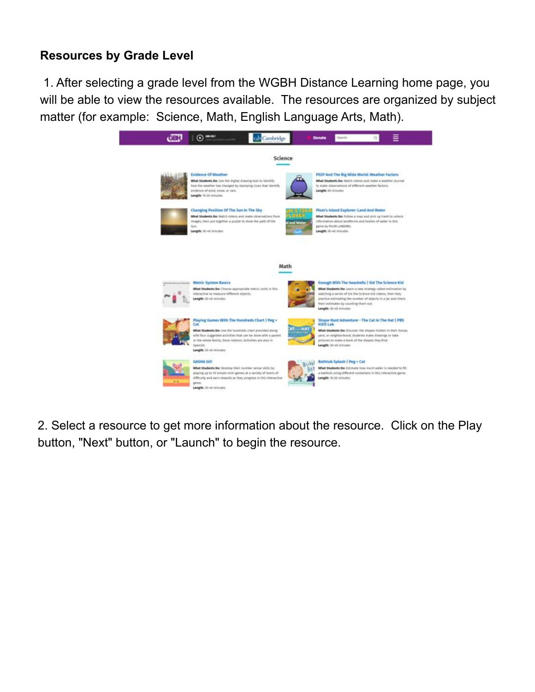### **Resources by Grade Level**

 1. After selecting a grade level from the WGBH Distance Learning home page, you will be able to view the resources available. The resources are organized by subject matter (for example: Science, Math, English Language Arts, Math).



2. Select a resource to get more information about the resource. Click on the Play button, "Next" button, or "Launch" to begin the resource.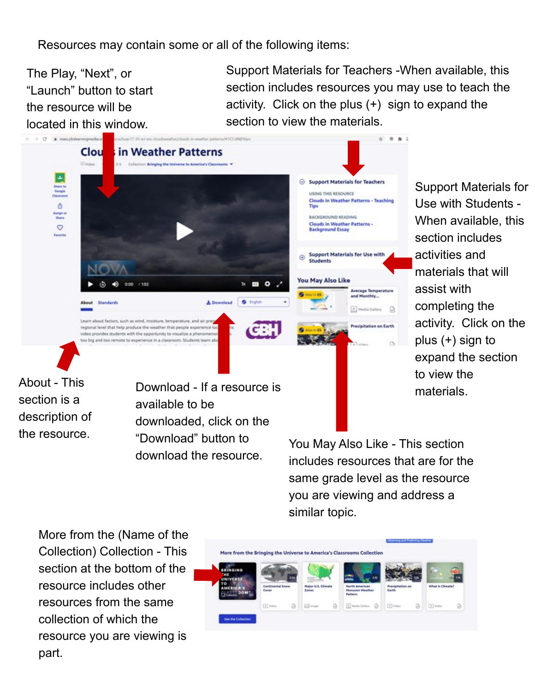Resources may contain some or all of the following items:

The Play, "Next", or "Launch" button to start the resource will be located in this window.

Support Materials for Teachers -When available, this section includes resources you may use to teach the activity. Click on the plus (+) sign to expand the section to view the materials.



Support Materials for Use with Students - When available, this section includes activities and materials that will assist with completing the activity. Click on the plus (+) sign to expand the section to view the materials.

About - This section is a description of the resource.

available to be downloaded, click on the "Download" button to download the resource.

You May Also Like - This section includes resources that are for the same grade level as the resource you are viewing and address a similar topic.

More from the (Name of the Collection) Collection - This section at the bottom of the resource includes other resources from the same collection of which the resource you are viewing is part.

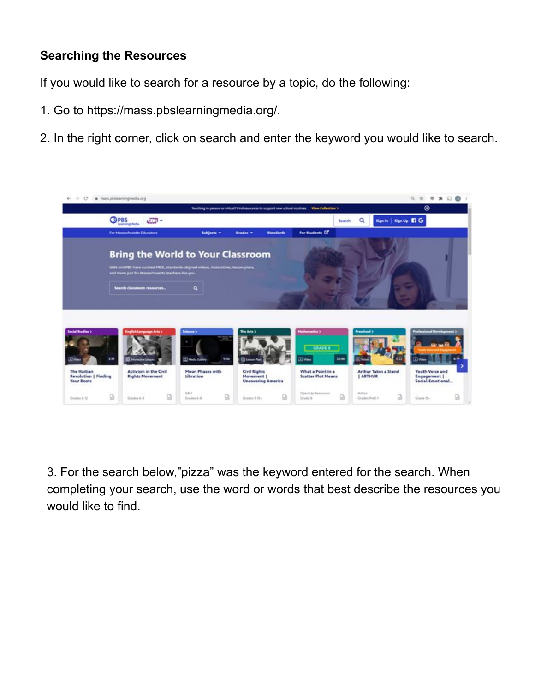# **Searching the Resources**

If you would like to search for a resource by a topic, do the following:

- 1. Go to https://mass.pbslearningmedia.org/.
- 2. In the right corner, click on search and enter the keyword you would like to search.



3. For the search below,"pizza" was the keyword entered for the search. When completing your search, use the word or words that best describe the resources you would like to find.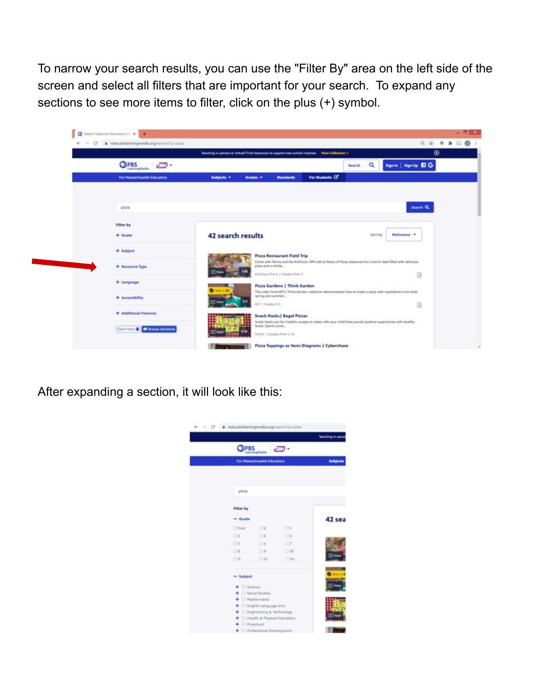To narrow your search results, you can use the "Filter By" area on the left side of the screen and select all filters that are important for your search. To expand any sections to see more items to filter, click on the plus (+) symbol.

|                       |                            |                   | Teaching in person or virtual? Find resources to support new school routines.    View Collection > |                                                                                                               |         | $\circ$                     |
|-----------------------|----------------------------|-------------------|----------------------------------------------------------------------------------------------------|---------------------------------------------------------------------------------------------------------------|---------|-----------------------------|
| <b>OPBS</b>           | <b>CEN -</b>               |                   |                                                                                                    | Search                                                                                                        | Q       | Sign in Sign Up <b>El</b> G |
|                       | For Manuchusetts Educators | Subjects =        | Grades =<br><b>Standards</b>                                                                       | For Students LS                                                                                               |         |                             |
| pizza                 |                            |                   |                                                                                                    |                                                                                                               |         | Search Q                    |
| Filter by             |                            |                   |                                                                                                    |                                                                                                               |         |                             |
| $+$ Grade             |                            | 42 search results |                                                                                                    |                                                                                                               | Sort by | Belevance =                 |
| $+$ Subject           |                            |                   | <b>Pizza Restaurant Field Trip</b>                                                                 |                                                                                                               |         |                             |
| + Resource Type       |                            |                   | pitts and a whole                                                                                  | Come with Penny and the KulVision VRCkids to Peace of Pizza restaurant for a lunch date filled with delicious |         |                             |
|                       |                            | ভাত               | KidVision Pre AL   Grades PreA 3                                                                   |                                                                                                               |         | G                           |
| + Language            |                            | $-10.13$          | Pizza Gardens   Think Garden                                                                       |                                                                                                               |         |                             |
| + Accessibility       |                            |                   | spring and summer                                                                                  | This video from KET's Think Garden collection demonstrates how to make a pizza with ingredients from both     |         |                             |
|                       |                            |                   | KEY 1 Grades 3-5                                                                                   |                                                                                                               |         | ₿                           |
| + Additional Features |                            |                   | <b>Snack Hacks   Bagel Pizzas</b>                                                                  |                                                                                                               |         |                             |
|                       |                            |                   | foods, Spend some                                                                                  | Snack Hacks are furt healthy recipes to make with your child that provide positive experiences with healthy   |         |                             |

After expanding a section, it will look like this:

|                       |                                     |            | Teaching in per |  |
|-----------------------|-------------------------------------|------------|-----------------|--|
| <b>COPBS</b>          |                                     | day -      |                 |  |
|                       | For Massachusetts Educators         |            | Subjects        |  |
|                       |                                     |            |                 |  |
| pizza                 |                                     |            |                 |  |
| Filter by             |                                     |            |                 |  |
| $=$ Grade             |                                     |            | 42 sea          |  |
| <b>D</b> Pref.        | OК                                  | O١         |                 |  |
| O2                    | O3                                  | $\Box$ 4   |                 |  |
| O3                    | $-16$                               | $\Box$ 7   |                 |  |
| <b>CH</b>             | D¥                                  | 0.10       |                 |  |
| Oπ                    | 口豆                                  | $\Box$ 13+ | mк              |  |
| $=$ Subject           |                                     |            |                 |  |
| $+$ $\square$ Science |                                     |            | ⊡               |  |
|                       | + C Social Studies                  |            |                 |  |
|                       | $+$ $\Box$ Mathematics              |            |                 |  |
|                       | + C English Language Arts           |            |                 |  |
|                       | $+$ $\Box$ Engineering & Technology |            |                 |  |
| $+$ $\Box$ Preschool  | + C Fleatth & Physical Education    |            |                 |  |
|                       | + C Professional Development        |            |                 |  |